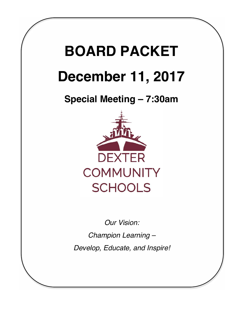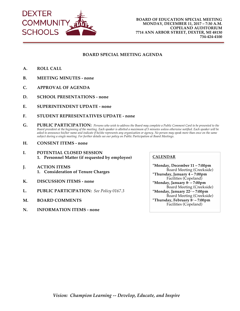

# **BOARD SPECIAL MEETING AGENDA**

- **A. ROLL CALL**
- **B. MEETING MINUTES - none**
- **C. APPROVAL OF AGENDA**
- **D. SCHOOL PRESENTATIONS - none**
- **E. SUPERINTENDENT UPDATE - none**
- **F. STUDENT REPRESENTATIVES UPDATE - none**
- **G. PUBLIC PARTICIPATION:** *Persons who wish to address the Board may complete a Public Comment Card to be presented to the Board president at the beginning of the meeting. Each speaker is allotted a maximum of 5 minutes unless otherwise notified. Each speaker will be asked to announce his/her name and indicate if he/she represents any organization or agency. No person may speak more than once on the same subject during a single meeting. For further details see our policy on Public Participation at Board Meetings.*
- **H. CONSENT ITEMS - none**
- **I. POTENTIAL CLOSED SESSION 1. Personnel Matter (if requested by employee)**
- **J. ACTION ITEMS 1. Consideration of Tenure Charges**
- **K. DISCUSSION ITEMS - none**
- **L. PUBLIC PARTICIPATION:** *See Policy 0167.3*
- **M. BOARD COMMENTS**
- **N. INFORMATION ITEMS - none**

## **CALENDAR**

**\*Monday, December 11 – 7:00pm** Board Meeting (Creekside) **\*Thursday, January 4 – 7:00pm**  Facilities (Copeland) **\*Monday, January 8<sup>th</sup> – 7:00pm** Board Meeting (Creekside) **\*Monday, January 22nd – 7:00pm** Board Meeting (Creekside) **\*Thursday, February 8th – 7:00pm** Facilities (Copeland)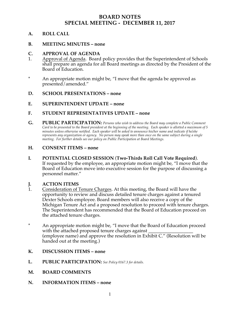# **BOARD NOTES SPECIAL MEETING - DECEMBER 11, 2017**

# **A. ROLL CALL**

# **B. MEETING MINUTES – none**

# **C. APPROVAL OF AGENDA**

- 1. Approval of Agenda. Board policy provides that the Superintendent of Schools shall prepare an agenda for all Board meetings as directed by the President of the Board of Education.
- \* An appropriate motion might be, "I move that the agenda be approved as presented/amended."

# **D. SCHOOL PRESENTATIONS – none**

# **E. SUPERINTENDENT UPDATE – none**

# **F. STUDENT REPRESENTATIVES UPDATE – none**

**G. PUBLIC PARTICIPATION:** *Persons who wish to address the Board may complete a Public Comment Card to be presented to the Board president at the beginning of the meeting. Each speaker is allotted a maximum of 5 minutes unless otherwise notified. Each speaker will be asked to announce his/her name and indicate if he/she represents any organization or agency. No person may speak more than once on the same subject during a single meeting. For further details see our policy on Public Participation at Board Meetings.*

# **H. CONSENT ITEMS – none**

**I. POTENTIAL CLOSED SESSION** (**Two-Thirds Roll Call Vote Required**). If requested by the employee, an appropriate motion might be, "I move that the Board of Education move into executive session for the purpose of discussing a personnel matter."

# **J. ACTION ITEMS**

- 1. Consideration of Tenure Charges. At this meeting, the Board will have the opportunity to review and discuss detailed tenure charges against a tenured Dexter Schools employee. Board members will also receive a copy of the Michigan Tenure Act and a proposed resolution to proceed with tenure charges. The Superintendent has recommended that the Board of Education proceed on the attached tenure charges.
- \* An appropriate motion might be, "I move that the Board of Education proceed with the attached proposed tenure charges against (employee name) and approve the resolution in Exhibit C." (Resolution will be handed out at the meeting.)
- **K. DISCUSSION ITEMS – none**
- **L. PUBLIC PARTICIPATION:** *See Policy 0167.3 for details.*
- **M. BOARD COMMENTS**
- **N. INFORMATION ITEMS – none**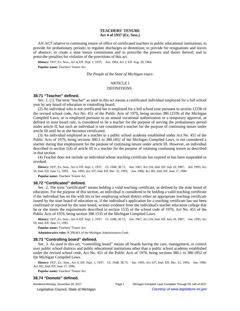## **TEACHERS' TENURE Act 4 of 1937 (Ex. Sess.)**

AN ACT relative to continuing tenure of office of certificated teachers in public educational institutions; to provide for probationary periods; to regulate discharges or demotions; to provide for resignations and leaves of absence; to create a state tenure commission and to prescribe the powers and duties thereof; and to prescribe penalties for violation of the provisions of this act.

History: 1937, Ex. Sess., Act 4, Eff. Sept. 1, 1937;-- Am. 1964, Act 2, Eff. Aug. 28, 1964.

**Popular name:** Teachers' Tenure Act

*The People of the State of Michigan enact:*

# ARTICLE I

## DEFINITIONS.

## **38.71 "Teacher" defined.**

Sec. 1. (1) The term "teacher" as used in this act means a certificated individual employed for a full school year by any board of education or controlling board.

(2) An individual who is not certificated but is employed for a full school year pursuant to section 1233b of the revised school code, Act No. 451 of the Public Acts of 1976, being section 380.1233b of the Michigan Compiled Laws, or is employed pursuant to an annual vocational authorization or a temporary approval, as defined in state board rule, is considered to be a teacher for the purpose of serving the probationary period under article II, but such an individual is not considered a teacher for the purpose of continuing tenure under article III until he or she becomes certificated.

(3) An individual employed as a teacher in a public school academy established under Act No. 451 of the Public Acts of 1976, being sections 380.1 to 380.1852 of the Michigan Compiled Laws, is not considered a teacher during that employment for the purpose of continuing tenure under article III. However, an individual described in section 1(4) of article III is a teacher for the purpose of retaining continuing tenure as described in that section.

(4) Teacher does not include an individual whose teaching certificate has expired or has been suspended or revoked.

History: 1937, Ex. Sess., Act 4, Eff. Sept. 1, 1937;—CL 1948, 38.71;—Am. 1967, Act 216, Imd. Eff. July 10, 1967;—Am. 1993, Act 59, Imd. Eff. June 11, 1993;—Am. 1993, Act 337, Imd. Eff. Dec. 31, 1993;—Am. 1996, Act 282, Imd. Eff. June 17, 1996.

**Popular name:** Teachers' Tenure Act

#### **38.72 "Certificated" defined.**

Sec. 2. The term "certificated" means holding a valid teaching certificate, as defined by the state board of education. For the purpose of this section, an individual is considered to be holding a valid teaching certificate if the individual has on file with his or her employing school district either an appropriate teaching certificate issued by the state board of education or, if the individual's application for a teaching certificate has not been confirmed or rejected by the state board, written evidence from the individual's teacher education college that he or she meets the requirements described in section 1535 of the school code of 1976, Act No. 451 of the Public Acts of 1976, being section 380.1535 of the Michigan Compiled Laws.

History: 1937, Ex. Sess., Act 4, Eff. Sept. 1, 1937;-CL 1948, 38.72;--Am. 1967, Act 216, Imd. Eff. July 10, 1967;--Am. 1993, Act 59, Imd. Eff. June 11, 1993.

**Popular name:** Teachers' Tenure Act

**Administrative rules:** R 390.661 of the Michigan Administrative Code.

## **38.73 "Controlling board" defined.**

Sec. 3. As used in this act, "controlling board" means all boards having the care, management, or control over public school districts and public educational institutions other than a public school academy established under the revised school code, Act No. 451 of the Public Acts of 1976, being sections 380.1 to 380.1852 of the Michigan Compiled Laws.

History: 1937, Ex. Sess., Act 4, Eff. Sept. 1, 1937;-CL 1948, 38.73;-Am. 1993, Act 337, Imd. Eff. Dec. 31, 1993;--Am. 1996, Act 282, Imd. Eff. June 17, 1996.

**Popular name:** Teachers' Tenure Act

## **38.74 "Demote" defined.**

Rendered Monday, November 20, 2017 Page 1 Michigan Compiled Laws Complete Through PA 140 of 2017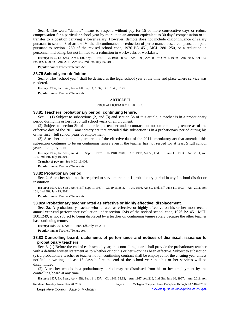Sec. 4. The word "demote" means to suspend without pay for 15 or more consecutive days or reduce compensation for a particular school year by more than an amount equivalent to 30 days' compensation or to transfer to a position carrying a lower salary. However, demote does not include discontinuance of salary pursuant to section 3 of article IV, the discontinuance or reduction of performance-based compensation paid pursuant to section 1250 of the revised school code, 1976 PA 451, MCL 380.1250, or a reduction in personnel, including, but not limited to, a reduction in workweeks or workdays.

History: 1937, Ex. Sess., Act 4, Eff. Sept. 1, 1937;-CL 1948, 38.74;-Am. 1993, Act 60, Eff. Oct. 1, 1993;-Am. 2005, Act 124, Eff. Jan. 1, 2006;--- Am. 2011, Act 100, Imd. Eff. July 19, 2011.

**Popular name:** Teachers' Tenure Act

#### **38.75 School year; definition.**

Sec. 5. The "school year" shall be defined as the legal school year at the time and place where service was rendered.

**History:** 1937, Ex. Sess., Act 4, Eff. Sept. 1, 1937; - CL 1948, 38.75.

**Popular name:** Teachers' Tenure Act

### ARTICLE II

### PROBATIONARY PERIOD.

## **38.81 Teachers' probationary period; continuing tenure.**

Sec. 1. (1) Subject to subsections (2) and (3) and section 3b of this article, a teacher is in a probationary period during his or her first 5 full school years of employment.

(2) Subject to section 3b of this article, a teacher under contract but not on continuing tenure as of the effective date of the 2011 amendatory act that amended this subsection is in a probationary period during his or her first 4 full school years of employment.

(3) A teacher on continuing tenure as of the effective date of the 2011 amendatory act that amended this subsection continues to be on continuing tenure even if the teacher has not served for at least 5 full school years of employment.

History: 1937, Ex. Sess., Act 4, Eff. Sept. 1, 1937;-CL 1948, 38.81;-Am. 1993, Act 59, Imd. Eff. June 11, 1993;-Am. 2011, Act 101, Imd. Eff. July 19, 2011.

**Transfer of powers:** See MCL 16.406.

**Popular name:** Teachers' Tenure Act

#### **38.82 Probationary period.**

Sec. 2. A teacher shall not be required to serve more than 1 probationary period in any 1 school district or institution.

History: 1937, Ex. Sess., Act 4, Eff. Sept. 1, 1937;-CL 1948, 38.82;--Am. 1993, Act 59, Imd. Eff. June 11, 1993;--Am. 2011, Act 101, Imd. Eff. July 19, 2011.

**Popular name:** Teachers' Tenure Act

#### **38.82a Probationary teacher rated as effective or highly effective; displacement.**

Sec. 2a. A probationary teacher who is rated as effective or highly effective on his or her most recent annual year-end performance evaluation under section 1249 of the revised school code, 1976 PA 451, MCL 380.1249, is not subject to being displaced by a teacher on continuing tenure solely because the other teacher has continuing tenure.

**History:** Add. 2011, Act 101, Imd. Eff. July 19, 2011.

**Popular name:** Teachers' Tenure Act

## **38.83 Controlling board; statements of performance and notices of dismissal; issuance to probationary teachers.**

Sec. 3. (1) Before the end of each school year, the controlling board shall provide the probationary teacher with a definite written statement as to whether or not his or her work has been effective. Subject to subsection (2), a probationary teacher or teacher not on continuing contract shall be employed for the ensuing year unless notified in writing at least 15 days before the end of the school year that his or her services will be discontinued.

(2) A teacher who is in a probationary period may be dismissed from his or her employment by the controlling board at any time.

History: 1937, Ex. Sess., Act 4, Eff. Sept. 1, 1937;-CL 1948, 38.83;--Am. 1967, Act 216, Imd. Eff. July 10, 1967;--Am. 2011, Act

Rendered Monday, November 20, 2017 Page 2 Michigan Compiled Laws Complete Through PA 140 of 2017 © Legislative Council, State of Michigan Council Council Council Council Council Council Council Council Council Council Council Council Council Council Council Council Council Council Council Council Council Council Counc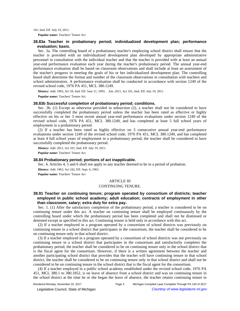101, Imd. Eff. July 19, 2011.

**Popular name:** Teachers' Tenure Act

## **38.83a Teacher in probationary period; individualized development plan; performance evaluation; basis.**

Sec. 3a. The controlling board of a probationary teacher's employing school district shall ensure that the teacher is provided with an individualized development plan developed by appropriate administrative personnel in consultation with the individual teacher and that the teacher is provided with at least an annual year-end performance evaluation each year during the teacher's probationary period. The annual year-end performance evaluation shall be based on classroom observations and shall include at least an assessment of the teacher's progress in meeting the goals of his or her individualized development plan. The controlling board shall determine the format and number of the classroom observations in consultation with teachers and school administrators. A performance evaluation shall be conducted in accordance with section 1249 of the revised school code, 1976 PA 451, MCL 380.1249.

History: Add. 1993, Act 59, Imd. Eff. June 11, 1993;—Am. 2011, Act 101, Imd. Eff. July 19, 2011. **Popular name:** Teachers' Tenure Act

## **38.83b Successful completion of probationary period; conditions.**

Sec. 3b. (1) Except as otherwise provided in subsection (2), a teacher shall not be considered to have successfully completed the probationary period unless the teacher has been rated as effective or highly effective on his or her 3 most recent annual year-end performance evaluations under section 1249 of the revised school code, 1976 PA 451, MCL 380.1249, and has completed at least 5 full school years of employment in a probationary period.

(2) If a teacher has been rated as highly effective on 3 consecutive annual year-end performance evaluations under section 1249 of the revised school code, 1976 PA 451, MCL 380.1249, and has completed at least 4 full school years of employment in a probationary period, the teacher shall be considered to have successfully completed the probationary period.

**History:** Add. 2011, Act 101, Imd. Eff. July 19, 2011.

**Popular name:** Teachers' Tenure Act

## **38.84 Probationary period; portions of act inapplicable.**

Sec. 4. Articles 4, 5 and 6 shall not apply to any teacher deemed to be in a period of probation. **History:** Add. 1963, Act 242, Eff. Sept. 6, 1963. **Popular name:** Teachers' Tenure Act

## ARTICLE III

#### CONTINUING TENURE.

## **38.91 Teacher on continuing tenure; program operated by consortium of districts; teacher employed in public school academy; adult education; contracts of employment in other than classroom; salary; extra duty for extra pay.**

Sec. 1. (1) After the satisfactory completion of the probationary period, a teacher is considered to be on continuing tenure under this act. A teacher on continuing tenure shall be employed continuously by the controlling board under which the probationary period has been completed and shall not be dismissed or demoted except as specified in this act. Continuing tenure is held only in accordance with this act.

(2) If a teacher employed in a program operated by a consortium of school districts was previously on continuing tenure in a school district that participates in the consortium, the teacher shall be considered to be on continuing tenure only in that school district.

(3) If a teacher employed in a program operated by a consortium of school districts was not previously on continuing tenure in a school district that participates in the consortium and satisfactorily completes the probationary period, the teacher shall be considered to be on continuing tenure only in the school district that is the fiscal agent for the consortium. However, if there is a written agreement between the teacher and another participating school district that provides that the teacher will have continuing tenure in that school district, the teacher shall be considered to be on continuing tenure only in that school district and shall not be considered to be on continuing tenure in the school district that is the fiscal agent for the consortium.

(4) If a teacher employed in a public school academy established under the revised school code, 1976 PA 451, MCL 380.1 to 380.1852, is on leave of absence from a school district and was on continuing tenure in the school district at the time he or she began the leave of absence, the teacher retains continuing tenure in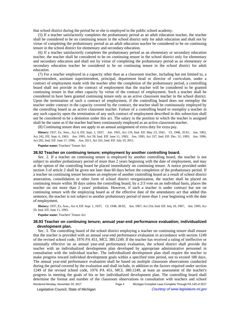that school district during the period he or she is employed in the public school academy.

(5) If a teacher satisfactorily completes the probationary period as an adult education teacher, the teacher shall be considered to be on continuing tenure in the school district only for adult education and shall not by virtue of completing the probationary period as an adult education teacher be considered to be on continuing tenure in the school district for elementary and secondary education.

(6) If a teacher satisfactorily completes the probationary period as an elementary or secondary education teacher, the teacher shall be considered to be on continuing tenure in the school district only for elementary and secondary education and shall not by virtue of completing the probationary period as an elementary or secondary education teacher be considered to be on continuing tenure in the school district for adult education.

(7) For a teacher employed in a capacity other than as a classroom teacher, including but not limited to, a superintendent, assistant superintendent, principal, department head or director of curriculum, under a contract of employment made with the teacher after the completion of the probationary period, a controlling board shall not provide in the contract of employment that the teacher will be considered to be granted continuing tenure in that other capacity by virtue of the contract of employment. Such a teacher shall be considered to have been granted continuing tenure only as an active classroom teacher in the school district. Upon the termination of such a contract of employment, if the controlling board does not reemploy the teacher under contract in the capacity covered by the contract, the teacher shall be continuously employed by the controlling board as an active classroom teacher. Failure of a controlling board to reemploy a teacher in any such capacity upon the termination of any such contract of employment described in this subsection shall not be considered to be a demotion under this act. The salary in the position to which the teacher is assigned shall be the same as if the teacher had been continuously employed as an active classroom teacher.

(8) Continuing tenure does not apply to an annual assignment of extra duty for extra pay.

History: 1937, Ex. Sess., Act 4, Eff. Sept. 1, 1937;--- Am. 1941, Act 119, Imd. Eff. May 23, 1941;-- CL 1948, 35.91;-- Am. 1963, Act 242, Eff. Sept. 6, 1963;—Am. 1993, Act 59, Imd. Eff. June 11, 1993;—Am. 1993, Act 337, Imd. Eff. Dec. 31, 1993;—Am. 1996, Act 282, Imd. Eff. June 17, 1996;-- Am. 2011, Act 101, Imd. Eff. July 19, 2011.

**Popular name:** Teachers' Tenure Act

#### **38.92 Teacher on continuing tenure; employment by another controlling board.**

Sec. 2. If a teacher on continuing tenure is employed by another controlling board, the teacher is not subject to another probationary period of more than 2 years beginning with the date of employment, and may at the option of the controlling board be placed immediately on continuing tenure. A notice provided under section 3 of article 2 shall be given not later than 60 days before the completion of the probationary period. If a teacher on continuing tenure becomes an employee of another controlling board as a result of school district annexation, consolidation or other form of school district reorganization, the teacher shall be placed on continuing tenure within 30 days unless the controlling board, by a 2/3 vote on an individual basis, places the teacher on not more than 2 years' probation. However, if such a teacher is under contract but not on continuing tenure with the employing board as of the effective date of the amendatory act that added this sentence, the teacher is not subject to another probationary period of more than 1 year beginning with the date of employment.

History: 1937, Ex. Sess., Act 4, Eff. Sept. 1, 1937;—CL 1948, 38.92;—Am. 1967, Act 216, Imd. Eff. July 10, 1967;—Am. 1993, Act 59, Imd. Eff. June 11, 1993.

**Popular name:** Teachers' Tenure Act

## **38.93 Teacher on continuing tenure; annual year-end performance evaluation; individualized development plan.**

Sec. 3. The controlling board of the school district employing a teacher on continuing tenure shall ensure that the teacher is provided with an annual year-end performance evaluation in accordance with section 1249 of the revised school code, 1976 PA 451, MCL 380.1249. If the teacher has received a rating of ineffective or minimally effective on an annual year-end performance evaluation, the school district shall provide the teacher with an individualized development plan developed by appropriate administrative personnel in consultation with the individual teacher. The individualized development plan shall require the teacher to make progress toward individual development goals within a specified time period, not to exceed 180 days. The annual year-end performance evaluation shall be based on multiple classroom observations conducted during the period covered by the evaluation and shall include, in addition to the factors required under section 1249 of the revised school code, 1976 PA 451, MCL 380.1249, at least an assessment of the teacher's progress in meeting the goals of his or her individualized development plan. The controlling board shall determine the format and number of the classroom observations in consultation with teachers and school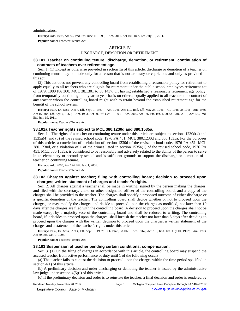administrators.

History: Add. 1993, Act 59, Imd. Eff. June 11, 1993;--Am. 2011, Act 101, Imd. Eff. July 19, 2011.

**Popular name:** Teachers' Tenure Act

## ARTICLE IV

#### DISCHARGE, DEMOTION OR RETIREMENT.

## **38.101 Teacher on continuing tenure; discharge, demotion, or retirement; continuation of contracts of teachers over retirement age.**

Sec. 1. (1) Except as otherwise provided in section 1a of this article, discharge or demotion of a teacher on continuing tenure may be made only for a reason that is not arbitrary or capricious and only as provided in this act.

(2) This act does not prevent any controlling board from establishing a reasonable policy for retirement to apply equally to all teachers who are eligible for retirement under the public school employees retirement act of 1979, 1980 PA 300, MCL 38.1301 to 38.1437, or, having established a reasonable retirement age policy, from temporarily continuing on a year-to-year basis on criteria equally applied to all teachers the contract of any teacher whom the controlling board might wish to retain beyond the established retirement age for the benefit of the school system.

History: 1937, Ex. Sess., Act 4, Eff. Sept. 1, 1937;—Am. 1941, Act 119, Imd. Eff. May 23, 1941;—CL 1948, 38.101;—Am. 1966, Act 15, Imd. Eff. Apr. 6, 1966;—Am. 1993, Act 60, Eff. Oct. 1, 1993;—Am. 2005, Act 136, Eff. Jan. 1, 2006;—Am. 2011, Act 100, Imd. Eff. July 19, 2011.

**Popular name:** Teachers' Tenure Act

## **38.101a Teacher rights subject to MCL 380.1230d and 380.1535a.**

Sec. 1a. The rights of a teacher on continuing tenure under this article are subject to sections 1230d(4) and 1535a(4) and (5) of the revised school code, 1976 PA 451, MCL 380.1230d and 380.1535a. For the purposes of this article, a conviction of a violation of section 1230d of the revised school code, 1976 PA 451, MCL 380.1230d, or a violation of 1 of the crimes listed in section 1535a(1) of the revised school code, 1976 PA 451, MCL 380.1535a, is considered to be reasonably and adversely related to the ability of the person to serve in an elementary or secondary school and is sufficient grounds to support the discharge or demotion of a teacher on continuing tenure.

**History:** Add. 2005, Act 124, Eff. Jan. 1, 2006.

**Popular name:** Teachers' Tenure Act

## **38.102 Charges against teacher; filing with controlling board; decision to proceed upon charges; written statement of charges and teacher's rights.**

Sec. 2. All charges against a teacher shall be made in writing, signed by the person making the charges, and filed with the secretary, clerk, or other designated officer of the controlling board, and a copy of the charges shall be provided to the teacher. The charges shall specify a proposed outcome of either discharge or a specific demotion of the teacher. The controlling board shall decide whether or not to proceed upon the charges, or may modify the charges and decide to proceed upon the charges as modified, not later than 10 days after the charges are filed with the controlling board. A decision to proceed upon the charges shall not be made except by a majority vote of the controlling board and shall be reduced to writing. The controlling board, if it decides to proceed upon the charges, shall furnish the teacher not later than 5 days after deciding to proceed upon the charges with the written decision to proceed upon the charges, a written statement of the charges and a statement of the teacher's rights under this article.

History: 1937, Ex. Sess., Act 4, Eff. Sept. 1, 1937;-CL 1948, 38.102;--Am. 1967, Act 216, Imd. Eff. July 10, 1967;--Am. 1993, Act 60, Eff. Oct. 1, 1993.

**Popular name:** Teachers' Tenure Act

#### **38.103 Suspension of teacher pending certain conditions; compensation.**

Sec. 3. (1) On the filing of charges in accordance with this article, the controlling board may suspend the accused teacher from active performance of duty until 1 of the following occurs:

(a) The teacher fails to contest the decision to proceed upon the charges within the time period specified in section 4(1) of this article.

(b) A preliminary decision and order discharging or demoting the teacher is issued by the administrative law judge under section 4(5)(i) of this article.

(c) If the preliminary decision and order is to reinstate the teacher, a final decision and order is rendered by

© Legislative Council, State of Michigan Council Courtesy of www.legislature.mi.gov

Rendered Monday, November 20, 2017 Page 5 Michigan Compiled Laws Complete Through PA 140 of 2017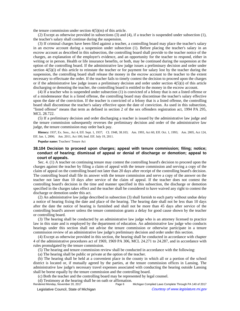the tenure commission under section  $4(5)(m)$  of this article.

(2) Except as otherwise provided in subsections (3) and (4), if a teacher is suspended under subsection (1), the teacher's salary shall continue during the suspension.

(3) If criminal charges have been filed against a teacher, a controlling board may place the teacher's salary in an escrow account during a suspension under subsection (1). Before placing the teacher's salary in an escrow account as described in this subsection, the controlling board shall provide to the teacher notice of the charges, an explanation of the employer's evidence, and an opportunity for the teacher to respond, either in writing or in person. Health or life insurance benefits, or both, may be continued during the suspension at the option of the controlling board. If the administrative law judge issues a preliminary decision and order under section  $4(5)(i)$  of this article to reinstate the teacher or for payment for salary lost by the teacher during the suspension, the controlling board shall release the money in the escrow account to the teacher to the extent necessary to effectuate the order. If the teacher fails to timely contest the decision to proceed upon the charges or if the administrative law judge issues a preliminary decision and order under section 4(5)(i) of this article discharging or demoting the teacher, the controlling board is entitled to the money in the escrow account.

(4) If a teacher who is suspended under subsection (1) is convicted of a felony that is not a listed offense or of a misdemeanor that is a listed offense, the controlling board may discontinue the teacher's salary effective upon the date of the conviction. If the teacher is convicted of a felony that is a listed offense, the controlling board shall discontinue the teacher's salary effective upon the date of conviction. As used in this subsection, "listed offense" means that term as defined in section 2 of the sex offenders registration act, 1994 PA 295, MCL 28.722.

(5) If a preliminary decision and order discharging a teacher is issued by the administrative law judge and the tenure commission subsequently reverses the preliminary decision and order of the administrative law judge, the tenure commission may order back pay.

**History:** 1937, Ex. Sess., Act 4, Eff. Sept. 1, 1937;—CL 1948, 38.103;—Am. 1993, Act 60, Eff. Oct. 1, 1993;—Am. 2005, Act 124, Eff. Jan. 1, 2006;--- Am. 2011, Act 100, Imd. Eff. July 19, 2011.

**Popular name:** Teachers' Tenure Act

## **38.104 Decision to proceed upon charges; appeal with tenure commission; filing; notice; conduct of hearing; dismissal of appeal or denial of discharge or demotion; appeal to court of appeals.**

Sec. 4. (1) A teacher on continuing tenure may contest the controlling board's decision to proceed upon the charges against the teacher by filing a claim of appeal with the tenure commission and serving a copy of the claim of appeal on the controlling board not later than 20 days after receipt of the controlling board's decision. The controlling board shall file its answer with the tenure commission and serve a copy of the answer on the teacher not later than 10 days after service of the claim of appeal. If the teacher does not contest the controlling board's decision in the time and manner specified in this subsection, the discharge or demotion specified in the charges takes effect and the teacher shall be considered to have waived any right to contest the discharge or demotion under this act.

(2) An administrative law judge described in subsection (3) shall furnish to each party without undue delay a notice of hearing fixing the date and place of the hearing. The hearing date shall not be less than 10 days after the date the notice of hearing is furnished and shall not be more than 45 days after service of the controlling board's answer unless the tenure commission grants a delay for good cause shown by the teacher or controlling board.

(3) The hearing shall be conducted by an administrative law judge who is an attorney licensed to practice law in this state and is employed by the department of education. An administrative law judge who conducts hearings under this section shall not advise the tenure commission or otherwise participate in a tenure commission review of an administrative law judge's preliminary decision and order under this section.

(4) Except as otherwise provided in this section, the hearing shall be conducted in accordance with chapter 4 of the administrative procedures act of 1969, 1969 PA 306, MCL 24.271 to 24.287, and in accordance with rules promulgated by the tenure commission.

(5) The hearing and tenure commission review shall be conducted in accordance with the following:

(a) The hearing shall be public or private at the option of the teacher.

(b) The hearing shall be held at a convenient place in the county in which all or a portion of the school district is located or, if mutually agreed by the parties, at the tenure commission offices in Lansing. The administrative law judge's necessary travel expenses associated with conducting the hearing outside Lansing shall be borne equally by the tenure commission and the controlling board.

(c) Both the teacher and the controlling board may be represented by legal counsel.

(d) Testimony at the hearing shall be on oath or affirmation.<br>Rendered Monday, November 20, 2017 Page 6

Michigan Compiled Laws Complete Through PA 140 of 2017 © Legislative Council, State of Michigan Council Courtesy of www.legislature.mi.gov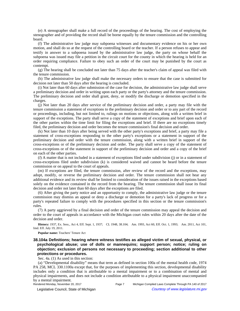(e) A stenographer shall make a full record of the proceedings of the hearing. The cost of employing the stenographer and of providing the record shall be borne equally by the tenure commission and the controlling board.

(f) The administrative law judge may subpoena witnesses and documentary evidence on his or her own motion, and shall do so at the request of the controlling board or the teacher. If a person refuses to appear and testify in answer to a subpoena issued by the administrative law judge, the party on whose behalf the subpoena was issued may file a petition in the circuit court for the county in which the hearing is held for an order requiring compliance. Failure to obey such an order of the court may be punished by the court as contempt.

(g) The hearing shall be concluded not later than 75 days after the teacher's claim of appeal was filed with the tenure commission.

(h) The administrative law judge shall make the necessary orders to ensure that the case is submitted for decision not later than 50 days after the hearing is concluded.

(i) Not later than 60 days after submission of the case for decision, the administrative law judge shall serve a preliminary decision and order in writing upon each party or the party's attorney and the tenure commission. The preliminary decision and order shall grant, deny, or modify the discharge or demotion specified in the charges.

(j) Not later than 20 days after service of the preliminary decision and order, a party may file with the tenure commission a statement of exceptions to the preliminary decision and order or to any part of the record or proceedings, including, but not limited to, rulings on motions or objections, along with a written brief in support of the exceptions. The party shall serve a copy of the statement of exceptions and brief upon each of the other parties within the time limit for filing the exceptions and brief. If there are no exceptions timely filed, the preliminary decision and order becomes the tenure commission's final decision and order.

(k) Not later than 10 days after being served with the other party's exceptions and brief, a party may file a statement of cross-exceptions responding to the other party's exceptions or a statement in support of the preliminary decision and order with the tenure commission, along with a written brief in support of the cross-exceptions or of the preliminary decision and order. The party shall serve a copy of the statement of cross-exceptions or of the statement in support of the preliminary decision and order and a copy of the brief on each of the other parties.

(*l*) A matter that is not included in a statement of exceptions filed under subdivision (j) or in a statement of cross-exceptions filed under subdivision (k) is considered waived and cannot be heard before the tenure commission or on appeal to the court of appeals.

(m) If exceptions are filed, the tenure commission, after review of the record and the exceptions, may adopt, modify, or reverse the preliminary decision and order. The tenure commission shall not hear any additional evidence and its review shall be limited to consideration of the issues raised in the exceptions based solely on the evidence contained in the record from the hearing. The tenure commission shall issue its final decision and order not later than 60 days after the exceptions are filed.

(6) After giving the party notice and an opportunity to comply, the administrative law judge or the tenure commission may dismiss an appeal or deny a discharge or demotion for a party's lack of progress or for a party's repeated failure to comply with the procedures specified in this section or the tenure commission's rules.

(7) A party aggrieved by a final decision and order of the tenure commission may appeal the decision and order to the court of appeals in accordance with the Michigan court rules within 20 days after the date of the decision and order.

History: 1937, Ex. Sess., Act 4, Eff. Sept. 1, 1937;-CL 1948, 38.104;--Am. 1993, Act 60, Eff. Oct. 1, 1993;--Am. 2011, Act 101, Imd. Eff. July 19, 2011.

**Popular name:** Teachers' Tenure Act

**38.104a Definitions; hearing where witness testifies as alleged victim of sexual, physical, or psychological abuse; use of dolls or mannequins; support person; notice; ruling on objection; exclusion of persons not necessary to proceeding; section additional to other protections or procedures.**

Sec. 4a. (1) As used in this section:

(a) "Developmental disability" means that term as defined in section 100a of the mental health code, 1974 PA 258, MCL 330.1100a except that, for the purposes of implementing this section, developmental disability includes only a condition that is attributable to a mental impairment or to a combination of mental and physical impairments, and does not include a condition attributable to a physical impairment unaccompanied by a mental impairment.<br>Rendered Monday, November 20, 2017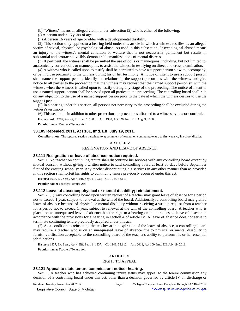(b) "Witness" means an alleged victim under subsection (2) who is either of the following:

(*i*) A person under 16 years of age.

(*ii*) A person 16 years of age or older with a developmental disability.

(2) This section only applies to a hearing held under this article in which a witness testifies as an alleged victim of sexual, physical, or psychological abuse. As used in this subsection, "psychological abuse" means an injury to the witness's mental condition or welfare that is not necessarily permanent but results in substantial and protracted, visibly demonstrable manifestations of mental distress.

(3) If pertinent, the witness shall be permitted the use of dolls or mannequins, including, but not limited to, anatomically correct dolls or mannequins, to assist the witness in testifying on direct and cross-examination.

(4) A witness who is called upon to testify shall be permitted to have a support person sit with, accompany, or be in close proximity to the witness during his or her testimony. A notice of intent to use a support person shall name the support person, identify the relationship the support person has with the witness, and give notice to all parties to the proceeding that the witness may request that the named support person sit with the witness when the witness is called upon to testify during any stage of the proceeding. The notice of intent to use a named support person shall be served upon all parties to the proceeding. The controlling board shall rule on any objection to the use of a named support person prior to the date at which the witness desires to use the support person.

(5) In a hearing under this section, all persons not necessary to the proceeding shall be excluded during the witness's testimony.

(6) This section is in addition to other protections or procedures afforded to a witness by law or court rule.

History: Add. 1987, Act 47, Eff. Jan. 1, 1988;-- Am. 1998, Act 326, Imd. Eff. Aug. 3, 1998.

**Popular name:** Teachers' Tenure Act

## **38.105 Repealed. 2011, Act 101, Imd. Eff. July 19, 2011.**

**Compiler's note:** The repealed section pertained to appointment of teacher on continuing tenure to first vacancy in school district.

## ARTICLE V RESIGNATION AND LEAVE OF ABSENCE.

## **38.111 Resignation or leave of absence; notice required.**

Sec. 1. No teacher on continuing tenure shall discontinue his services with any controlling board except by mutual consent, without giving a written notice to said controlling board at least 60 days before September first of the ensuing school year. Any teacher discontinuing his services in any other manner than as provided in this section shall forfeit his rights to continuing tenure previously acquired under this act.

History: 1937, Ex. Sess., Act 4, Eff. Sept. 1, 1937;--CL 1948, 38.111.

**Popular name:** Teachers' Tenure Act

#### **38.112 Leave of absence; physical or mental disability; reinstatement.**

Sec. 2. (1) Any controlling board upon written request of a teacher may grant leave of absence for a period not to exceed 1 year, subject to renewal at the will of the board. Additionally, a controlling board may grant a leave of absence because of physical or mental disability without receiving a written request from a teacher for a period not to exceed 1 year, subject to renewal at the will of the controlling board. A teacher who is placed on an unrequested leave of absence has the right to a hearing on the unrequested leave of absence in accordance with the provisions for a hearing in section 4 of article IV. A leave of absence does not serve to terminate continuing tenure previously acquired under this act.

(2) As a condition to reinstating the teacher at the expiration of the leave of absence, a controlling board may require a teacher who is on an unrequested leave of absence due to physical or mental disability to furnish verification acceptable to the controlling board of the teacher's ability to perform his or her essential job functions.

History: 1937, Ex. Sess., Act 4, Eff. Sept. 1, 1937; - CL 1948, 38.112; - Am. 2011, Act 100, Imd. Eff. July 19, 2011.

**Popular name:** Teachers' Tenure Act

## ARTICLE VI

## RIGHT TO APPEAL.

## **38.121 Appeal to state tenure commission; notice; hearing.**

Sec. 1. A teacher who has achieved continuing tenure status may appeal to the tenure commission any decision of a controlling board under this act, other than a decision governed by article IV on discharge or

Rendered Monday, November 20, 2017 Page 8 Michigan Compiled Laws Complete Through PA 140 of 2017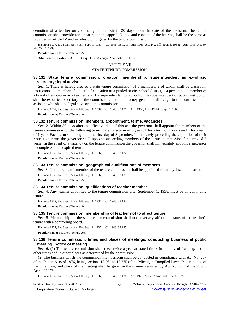demotion of a teacher on continuing tenure, within 20 days from the date of the decision. The tenure commission shall provide for a hearing on the appeal. Notice and conduct of the hearing shall be the same as provided in article IV and in rules promulgated by the tenure commission.

History: 1937, Ex. Sess., Act 4, Eff. Sept. 1, 1937; - CL 1948, 38.121; - Am. 1963, Act 242, Eff. Sept. 6, 1963; - Am. 1993, Act 60, Eff. Oct. 1, 1993.

**Popular name:** Teachers' Tenure Act

**Administrative rules:** R 38.131 et seq. of the Michigan Administrative Code.

## ARTICLE VII

## STATE TENURE COMMISSION.

## **38.131 State tenure commission; creation, membership; superintendent as ex-officio secretary; legal advisor.**

Sec. 1. There is hereby created a state tenure commission of 5 members: 2 of whom shall be classroom instructors, 1 a member of a board of education of a graded or city school district, 1 a person not a member of a board of education or a teacher, and 1 a superintendent of schools. The superintendent of public instruction shall be ex officio secretary of the commission, and the attorney general shall assign to the commission an assistant who shall be legal advisor to the commission.

History: 1937, Ex. Sess., Act 4, Eff. Sept. 1, 1937; -CL 1948, 38.131; -Am. 1963, Act 242, Eff. Sept. 6, 1963.

**Popular name:** Teachers' Tenure Act

### **38.132 Tenure commission; members, appointment, terms, vacancies.**

Sec. 2. Within 30 days after the effective date of this act, the governor shall appoint the members of the tenure commission for the following terms: One for a term of 3 years, 1 for a term of 2 years and 1 for a term of 1 year. Each term shall begin on the first day of September. Immediately preceding the expiration of their respective terms the governor shall appoint succeeding members of the tenure commission for terms of 5 years. In the event of a vacancy on the tenure commission the governor shall immediately appoint a successor to complete the unexpired term.

History: 1937, Ex. Sess., Act 4, Eff. Sept. 1, 1937;--CL 1948, 38.132.

**Popular name:** Teachers' Tenure Act

## **38.133 Tenure commission; geographical qualifications of members.**

Sec. 3. Not more than 1 member of the tenure commission shall be appointed from any 1 school district.

History: 1937, Ex. Sess., Act 4, Eff. Sept. 1, 1937;-CL 1948, 38.133.

**Popular name:** Teachers' Tenure Act

#### **38.134 Tenure commission; qualifications of teacher member.**

Sec. 4. Any teacher appointed to the tenure commission after September 1, 1938, must be on continuing tenure.

History: 1937, Ex. Sess., Act 4, Eff. Sept. 1, 1937;-CL 1948, 38.134.

**Popular name:** Teachers' Tenure Act

#### **38.135 Tenure commission; membership of teacher not to affect tenure.**

Sec. 5. Membership on the state tenure commission shall not adversely affect the status of the teacher's tenure with a controlling board.

History: 1937, Ex. Sess., Act 4, Eff. Sept. 1, 1937;-CL 1948, 38.135.

**Popular name:** Teachers' Tenure Act

## **38.136 Tenure commission; times and places of meetings; conducting business at public meeting; notice of meeting.**

Sec. 6. (1) The tenure commission shall meet twice a year at stated times in the city of Lansing, and at other times and in other places as determined by the commission.

(2) The business which the commission may perform shall be conducted in compliance with Act No. 267 of the Public Acts of 1976, being sections 15.261 to 15.275 of the Michigan Compiled Laws. Public notice of the time, date, and place of the meeting shall be given in the manner required by Act No. 267 of the Public Acts of 1976.

History: 1937, Ex. Sess., Act 4, Eff. Sept. 1, 1937;-CL 1948, 38.136;-Am. 1977, Act 252, Imd. Eff. Dec. 6, 1977.

Rendered Monday, November 20, 2017 Page 9 Michigan Compiled Laws Complete Through PA 140 of 2017

© Legislative Council, State of Michigan Council Courtesy of www.legislature.mi.gov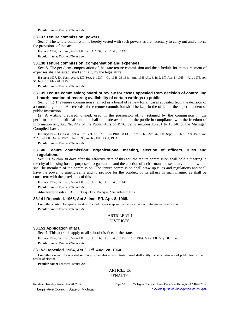**Popular name:** Teachers' Tenure Act

#### **38.137 Tenure commission; powers.**

Sec. 7. The tenure commission is hereby vested with such powers as are necessary to carry out and enforce the provisions of this act.

History: 1937, Ex. Sess., Act 4, Eff. Sept. 1, 1937;-CL 1948, 38.137.

**Popular name:** Teachers' Tenure Act

## **38.138 Tenure commission; compensation and expenses.**

Sec. 8. The per diem compensation of the state tenure commission and the schedule for reimbursement of expenses shall be established annually by the legislature.

History: 1937, Ex. Sess., Act 4, Eff. Sept. 1, 1937;-CL 1948, 38.138;-Am. 1965, Act 8, Imd. Eff. Apr. 8, 1965;-Am. 1975, Act 56, Imd. Eff. May 20, 1975.

**Popular name:** Teachers' Tenure Act

## **38.139 Tenure commission; board of review for cases appealed from decision of controlling board; location of records; availability of certain writings to public.**

Sec. 9. (1) The tenure commission shall act as a board of review for all cases appealed from the decision of a controlling board. All records of the tenure commission shall be kept in the office of the superintendent of public instruction.

(2) A writing prepared, owned, used in the possession of, or retained by the commission in the performance of an official function shall be made available to the public in compliance with the freedom of information act, Act No. 442 of the Public Acts of 1976, being sections 15.231 to 15.246 of the Michigan Compiled Laws.

History: 1937, Ex. Sess., Act 4, Eff. Sept. 1, 1937;-CL 1948, 38.139;-Am. 1963, Act 242, Eff. Sept. 6, 1963;-Am. 1977, Act 252, Imd. Eff. Dec. 6, 1977;—Am. 1993, Act 60, Eff. Oct. 1, 1993.

**Popular name:** Teachers' Tenure Act

## **38.140 Tenure commission; organizational meeting, election of officers, rules and regulations.**

Sec. 10. Within 30 days after the effective date of this act, the tenure commission shall hold a meeting in the city of Lansing for the purpose of organization and the election of a chairman and secretary, both of whom shall be members of the commission. The tenure commission shall draw up rules and regulations and shall have the power to amend same and to provide for the conduct of its affairs in such manner as shall be consistent with the provisions of this act.

History: 1937, Ex. Sess., Act 4, Eff. Sept. 1, 1937; - CL 1948, 38.140.

**Popular name:** Teachers' Tenure Act

**Administrative rules:** R 38.131 et seq. of the Michigan Administrative Code.

## **38.141 Repealed. 1965, Act 8, Imd. Eff. Apr. 8, 1965.**

**Compiler's note:** The repealed section provided two-year appropriation for expenses of the tenure commission. **Popular name:** Teachers' Tenure Act

# ARTICLE VIII

## DISTRICTS.

#### **38.151 Application of act.**

Sec. 1. This act shall apply to all school districts of the state.

History: 1937, Ex. Sess., Act 4, Eff. Sept. 1, 1937;-CL 1948, 38.151;-Am. 1964, Act 2, Eff. Aug. 28, 1964.

**Popular name:** Teachers' Tenure Act

## **38.152 Repealed. 1964, Act 2, Eff. Aug. 28, 1964.**

**Compiler's note:** The repealed section provided that school district board shall notify the superintendent of public instruction of results of election.

**Popular name:** Teachers' Tenure Act

## ARTICLE IX PENALTY.

Rendered Monday, November 20, 2017 Page 10 Michigan Compiled Laws Complete Through PA 140 of 2017 © Legislative Council, State of Michigan Council Courtesy of www.legislature.mi.gov